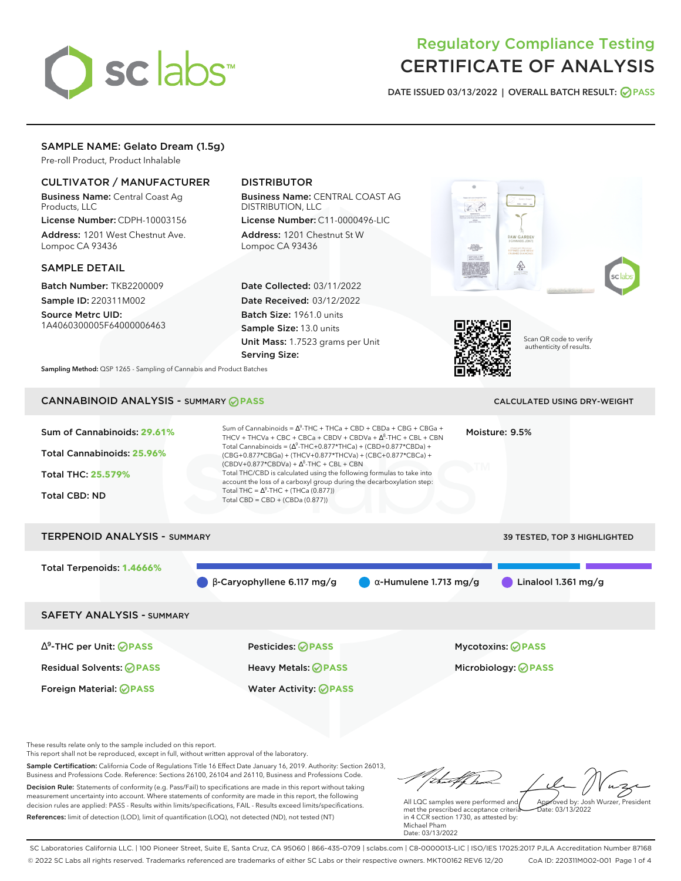

# Regulatory Compliance Testing CERTIFICATE OF ANALYSIS

**DATE ISSUED 03/13/2022 | OVERALL BATCH RESULT: PASS**

# SAMPLE NAME: Gelato Dream (1.5g)

Pre-roll Product, Product Inhalable

# CULTIVATOR / MANUFACTURER

Business Name: Central Coast Ag Products, LLC

License Number: CDPH-10003156 Address: 1201 West Chestnut Ave. Lompoc CA 93436

#### SAMPLE DETAIL

Batch Number: TKB2200009 Sample ID: 220311M002

Source Metrc UID: 1A4060300005F64000006463

# DISTRIBUTOR

Business Name: CENTRAL COAST AG DISTRIBUTION, LLC

License Number: C11-0000496-LIC Address: 1201 Chestnut St W Lompoc CA 93436

Date Collected: 03/11/2022 Date Received: 03/12/2022 Batch Size: 1961.0 units Sample Size: 13.0 units Unit Mass: 1.7523 grams per Unit Serving Size:





Scan QR code to verify authenticity of results.

**Sampling Method:** QSP 1265 - Sampling of Cannabis and Product Batches

# CANNABINOID ANALYSIS - SUMMARY **PASS** CALCULATED USING DRY-WEIGHT

# Sum of Cannabinoids: **29.61%** Total Cannabinoids: **25.96%** Total THC: **25.579%** Total CBD: ND Sum of Cannabinoids =  $\Delta^9$ -THC + THCa + CBD + CBDa + CBG + CBGa + THCV + THCVa + CBC + CBCa + CBDV + CBDVa +  $\Delta^8$ -THC + CBL + CBN Total Cannabinoids = ( $\Delta^9$ -THC+0.877\*THCa) + (CBD+0.877\*CBDa) + (CBG+0.877\*CBGa) + (THCV+0.877\*THCVa) + (CBC+0.877\*CBCa) +  $(CBDV+0.877*CBDVa) + \Delta^8$ -THC + CBL + CBN Total THC/CBD is calculated using the following formulas to take into account the loss of a carboxyl group during the decarboxylation step: Total THC =  $\Delta^9$ -THC + (THCa (0.877)) Total CBD = CBD + (CBDa (0.877)) Moisture: 9.5% TERPENOID ANALYSIS - SUMMARY 39 TESTED, TOP 3 HIGHLIGHTED Total Terpenoids: **1.4666%** β-Caryophyllene 6.117 mg/g α-Humulene 1.713 mg/g Linalool 1.361 mg/g SAFETY ANALYSIS - SUMMARY ∆ 9 -THC per Unit: **PASS** Pesticides: **PASS** Mycotoxins: **PASS** Residual Solvents: **PASS** Heavy Metals: **PASS** Microbiology: **PASS**

These results relate only to the sample included on this report.

This report shall not be reproduced, except in full, without written approval of the laboratory.

Sample Certification: California Code of Regulations Title 16 Effect Date January 16, 2019. Authority: Section 26013, Business and Professions Code. Reference: Sections 26100, 26104 and 26110, Business and Professions Code. Decision Rule: Statements of conformity (e.g. Pass/Fail) to specifications are made in this report without taking measurement uncertainty into account. Where statements of conformity are made in this report, the following decision rules are applied: PASS - Results within limits/specifications, FAIL - Results exceed limits/specifications.

Foreign Material: **PASS** Water Activity: **PASS**

References: limit of detection (LOD), limit of quantification (LOQ), not detected (ND), not tested (NT)

tuff ha Approved by: Josh Wurzer, President

 $hat: 03/13/2022$ 

All LQC samples were performed and met the prescribed acceptance criteria in 4 CCR section 1730, as attested by: Michael Pham Date: 03/13/2022

SC Laboratories California LLC. | 100 Pioneer Street, Suite E, Santa Cruz, CA 95060 | 866-435-0709 | sclabs.com | C8-0000013-LIC | ISO/IES 17025:2017 PJLA Accreditation Number 87168 © 2022 SC Labs all rights reserved. Trademarks referenced are trademarks of either SC Labs or their respective owners. MKT00162 REV6 12/20 CoA ID: 220311M002-001 Page 1 of 4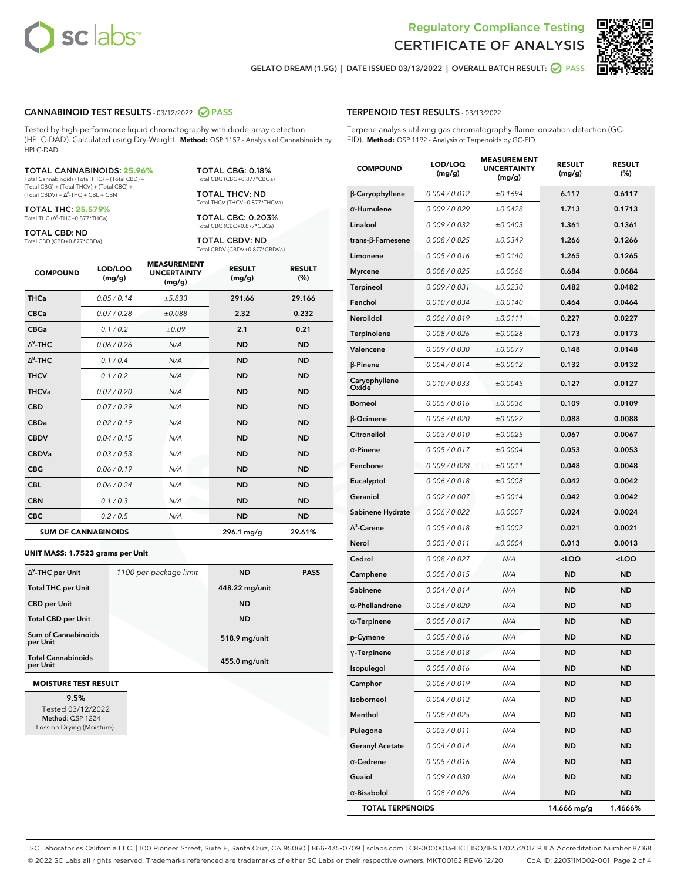



**GELATO DREAM (1.5G) | DATE ISSUED 03/13/2022 | OVERALL BATCH RESULT: PASS**

### **CANNABINOID TEST RESULTS** - 03/12/2022 **PASS**

Tested by high-performance liquid chromatography with diode-array detection (HPLC-DAD). Calculated using Dry-Weight. **Method:** QSP 1157 - Analysis of Cannabinoids by HPLC-DAD

#### TOTAL CANNABINOIDS: **25.96%**

Total Cannabinoids (Total THC) + (Total CBD) + (Total CBG) + (Total THCV) + (Total CBC) +  $(Total CBDV) +  $\Delta^8$ -THC + CBL + CBN$ 

TOTAL THC: **25.579%** Total THC (Δ<sup>9</sup>-THC+0.877\*THCa)

TOTAL CBD: ND

Total CBD (CBD+0.877\*CBDa)

TOTAL CBG: 0.18% Total CBG (CBG+0.877\*CBGa)

TOTAL THCV: ND Total THCV (THCV+0.877\*THCVa)

TOTAL CBC: 0.203% Total CBC (CBC+0.877\*CBCa)

TOTAL CBDV: ND Total CBDV (CBDV+0.877\*CBDVa)

| <b>COMPOUND</b> | LOD/LOQ<br>(mg/g)          | <b>MEASUREMENT</b><br><b>UNCERTAINTY</b><br>(mg/g) | <b>RESULT</b><br>(mg/g) | <b>RESULT</b><br>(%) |
|-----------------|----------------------------|----------------------------------------------------|-------------------------|----------------------|
| <b>THCa</b>     | 0.05 / 0.14                | ±5.833                                             | 291.66                  | 29.166               |
| <b>CBCa</b>     | 0.07/0.28                  | ±0.088                                             | 2.32                    | 0.232                |
| <b>CBGa</b>     | 0.1/0.2                    | ±0.09                                              | 2.1                     | 0.21                 |
| $\Delta^9$ -THC | 0.06 / 0.26                | N/A                                                | <b>ND</b>               | <b>ND</b>            |
| $\wedge^8$ -THC | 0.1 / 0.4                  | N/A                                                | <b>ND</b>               | <b>ND</b>            |
| <b>THCV</b>     | 0.1/0.2                    | N/A                                                | <b>ND</b>               | <b>ND</b>            |
| <b>THCVa</b>    | 0.07 / 0.20                | N/A                                                | <b>ND</b>               | <b>ND</b>            |
| <b>CBD</b>      | 0.07/0.29                  | N/A                                                | <b>ND</b>               | <b>ND</b>            |
| <b>CBDa</b>     | 0.02/0.19                  | N/A                                                | <b>ND</b>               | <b>ND</b>            |
| <b>CBDV</b>     | 0.04/0.15                  | N/A                                                | <b>ND</b>               | <b>ND</b>            |
| <b>CBDVa</b>    | 0.03 / 0.53                | N/A                                                | <b>ND</b>               | <b>ND</b>            |
| <b>CBG</b>      | 0.06/0.19                  | N/A                                                | <b>ND</b>               | <b>ND</b>            |
| <b>CBL</b>      | 0.06 / 0.24                | N/A                                                | <b>ND</b>               | <b>ND</b>            |
| <b>CBN</b>      | 0.1/0.3                    | N/A                                                | <b>ND</b>               | <b>ND</b>            |
| <b>CBC</b>      | 0.2 / 0.5                  | N/A                                                | <b>ND</b>               | <b>ND</b>            |
|                 | <b>SUM OF CANNABINOIDS</b> |                                                    | 296.1 mg/g              | 29.61%               |

#### **UNIT MASS: 1.7523 grams per Unit**

| $\Delta^9$ -THC per Unit              | 1100 per-package limit | <b>ND</b>      | <b>PASS</b> |
|---------------------------------------|------------------------|----------------|-------------|
| <b>Total THC per Unit</b>             |                        | 448.22 mg/unit |             |
| <b>CBD</b> per Unit                   |                        | <b>ND</b>      |             |
| <b>Total CBD per Unit</b>             |                        | <b>ND</b>      |             |
| Sum of Cannabinoids<br>per Unit       |                        | 518.9 mg/unit  |             |
| <b>Total Cannabinoids</b><br>per Unit |                        | 455.0 mg/unit  |             |

#### **MOISTURE TEST RESULT**

**9.5%** Tested 03/12/2022 **Method:** QSP 1224 - Loss on Drying (Moisture)

## **TERPENOID TEST RESULTS** - 03/13/2022

Terpene analysis utilizing gas chromatography-flame ionization detection (GC-FID). **Method:** QSP 1192 - Analysis of Terpenoids by GC-FID

| <b>COMPOUND</b>          | LOD/LOQ<br>(mg/g) | <b>MEASUREMENT</b><br><b>UNCERTAINTY</b><br>(mg/g) | <b>RESULT</b><br>(mg/g)                         | <b>RESULT</b><br>(%) |
|--------------------------|-------------------|----------------------------------------------------|-------------------------------------------------|----------------------|
| <b>B-Caryophyllene</b>   | 0.004 / 0.012     | ±0.1694                                            | 6.117                                           | 0.6117               |
| $\alpha$ -Humulene       | 0.009/0.029       | ±0.0428                                            | 1.713                                           | 0.1713               |
| Linalool                 | 0.009 / 0.032     | ±0.0403                                            | 1.361                                           | 0.1361               |
| $trans-\beta$ -Farnesene | 0.008 / 0.025     | ±0.0349                                            | 1.266                                           | 0.1266               |
| Limonene                 | 0.005 / 0.016     | ±0.0140                                            | 1.265                                           | 0.1265               |
| <b>Myrcene</b>           | 0.008 / 0.025     | ±0.0068                                            | 0.684                                           | 0.0684               |
| <b>Terpineol</b>         | 0.009 / 0.031     | ±0.0230                                            | 0.482                                           | 0.0482               |
| Fenchol                  | 0.010 / 0.034     | ±0.0140                                            | 0.464                                           | 0.0464               |
| Nerolidol                | 0.006 / 0.019     | ±0.0111                                            | 0.227                                           | 0.0227               |
| Terpinolene              | 0.008 / 0.026     | ±0.0028                                            | 0.173                                           | 0.0173               |
| Valencene                | 0.009 / 0.030     | ±0.0079                                            | 0.148                                           | 0.0148               |
| β-Pinene                 | 0.004 / 0.014     | ±0.0012                                            | 0.132                                           | 0.0132               |
| Caryophyllene<br>Oxide   | 0.010 / 0.033     | ±0.0045                                            | 0.127                                           | 0.0127               |
| <b>Borneol</b>           | 0.005 / 0.016     | ±0.0036                                            | 0.109                                           | 0.0109               |
| β-Ocimene                | 0.006 / 0.020     | ±0.0022                                            | 0.088                                           | 0.0088               |
| Citronellol              | 0.003 / 0.010     | ±0.0025                                            | 0.067                                           | 0.0067               |
| $\alpha$ -Pinene         | 0.005 / 0.017     | ±0.0004                                            | 0.053                                           | 0.0053               |
| Fenchone                 | 0.009/0.028       | ±0.0011                                            | 0.048                                           | 0.0048               |
| Eucalyptol               | 0.006 / 0.018     | ±0.0008                                            | 0.042                                           | 0.0042               |
| Geraniol                 | 0.002 / 0.007     | ±0.0014                                            | 0.042                                           | 0.0042               |
| Sabinene Hydrate         | 0.006 / 0.022     | ±0.0007                                            | 0.024                                           | 0.0024               |
| $\Delta^3$ -Carene       | 0.005 / 0.018     | ±0.0002                                            | 0.021                                           | 0.0021               |
| Nerol                    | 0.003 / 0.011     | ±0.0004                                            | 0.013                                           | 0.0013               |
| Cedrol                   | 0.008 / 0.027     | N/A                                                | <loq< th=""><th><loq< th=""></loq<></th></loq<> | <loq< th=""></loq<>  |
| Camphene                 | 0.005 / 0.015     | N/A                                                | ND                                              | ND                   |
| Sabinene                 | 0.004 / 0.014     | N/A                                                | <b>ND</b>                                       | ND                   |
| $\alpha$ -Phellandrene   | 0.006 / 0.020     | N/A                                                | <b>ND</b>                                       | <b>ND</b>            |
| $\alpha$ -Terpinene      | 0.005 / 0.017     | N/A                                                | ND                                              | <b>ND</b>            |
| p-Cymene                 | 0.005 / 0.016     | N/A                                                | <b>ND</b>                                       | ND                   |
| $\gamma$ -Terpinene      | 0.006 / 0.018     | N/A                                                | <b>ND</b>                                       | <b>ND</b>            |
| Isopulegol               | 0.005 / 0.016     | N/A                                                | ND                                              | ND                   |
| Camphor                  | 0.006 / 0.019     | N/A                                                | <b>ND</b>                                       | ND                   |
| Isoborneol               | 0.004 / 0.012     | N/A                                                | <b>ND</b>                                       | <b>ND</b>            |
| Menthol                  | 0.008 / 0.025     | N/A                                                | ND                                              | <b>ND</b>            |
| Pulegone                 | 0.003 / 0.011     | N/A                                                | <b>ND</b>                                       | ND                   |
| <b>Geranyl Acetate</b>   | 0.004 / 0.014     | N/A                                                | <b>ND</b>                                       | <b>ND</b>            |
| $\alpha$ -Cedrene        | 0.005 / 0.016     | N/A                                                | ND                                              | <b>ND</b>            |
| Guaiol                   | 0.009 / 0.030     | N/A                                                | <b>ND</b>                                       | ND                   |
| α-Bisabolol              | 0.008 / 0.026     | N/A                                                | <b>ND</b>                                       | ND                   |
| <b>TOTAL TERPENOIDS</b>  |                   |                                                    | 14.666 mg/g                                     | 1.4666%              |

SC Laboratories California LLC. | 100 Pioneer Street, Suite E, Santa Cruz, CA 95060 | 866-435-0709 | sclabs.com | C8-0000013-LIC | ISO/IES 17025:2017 PJLA Accreditation Number 87168 © 2022 SC Labs all rights reserved. Trademarks referenced are trademarks of either SC Labs or their respective owners. MKT00162 REV6 12/20 CoA ID: 220311M002-001 Page 2 of 4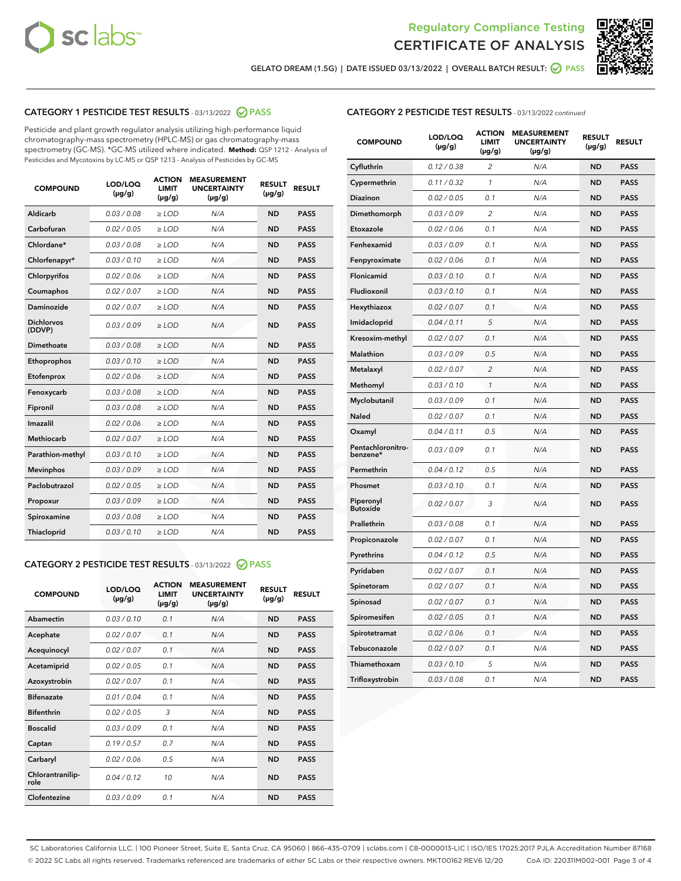



**GELATO DREAM (1.5G) | DATE ISSUED 03/13/2022 | OVERALL BATCH RESULT: PASS**

# **CATEGORY 1 PESTICIDE TEST RESULTS** - 03/13/2022 **PASS**

Pesticide and plant growth regulator analysis utilizing high-performance liquid chromatography-mass spectrometry (HPLC-MS) or gas chromatography-mass spectrometry (GC-MS). \*GC-MS utilized where indicated. **Method:** QSP 1212 - Analysis of Pesticides and Mycotoxins by LC-MS or QSP 1213 - Analysis of Pesticides by GC-MS

| <b>COMPOUND</b>             | LOD/LOQ<br>$(\mu g/g)$ | <b>ACTION</b><br><b>LIMIT</b><br>$(\mu g/g)$ | <b>MEASUREMENT</b><br><b>UNCERTAINTY</b><br>$(\mu g/g)$ | <b>RESULT</b><br>$(\mu g/g)$ | <b>RESULT</b> |
|-----------------------------|------------------------|----------------------------------------------|---------------------------------------------------------|------------------------------|---------------|
| Aldicarb                    | 0.03 / 0.08            | $\ge$ LOD                                    | N/A                                                     | <b>ND</b>                    | <b>PASS</b>   |
| Carbofuran                  | 0.02 / 0.05            | $\ge$ LOD                                    | N/A                                                     | <b>ND</b>                    | <b>PASS</b>   |
| Chlordane*                  | 0.03 / 0.08            | $\ge$ LOD                                    | N/A                                                     | <b>ND</b>                    | <b>PASS</b>   |
| Chlorfenapyr*               | 0.03/0.10              | $\ge$ LOD                                    | N/A                                                     | <b>ND</b>                    | <b>PASS</b>   |
| Chlorpyrifos                | 0.02/0.06              | $\ge$ LOD                                    | N/A                                                     | <b>ND</b>                    | <b>PASS</b>   |
| Coumaphos                   | 0.02 / 0.07            | $\geq$ LOD                                   | N/A                                                     | <b>ND</b>                    | <b>PASS</b>   |
| Daminozide                  | 0.02 / 0.07            | $>$ LOD                                      | N/A                                                     | <b>ND</b>                    | <b>PASS</b>   |
| <b>Dichlorvos</b><br>(DDVP) | 0.03/0.09              | $\ge$ LOD                                    | N/A                                                     | <b>ND</b>                    | <b>PASS</b>   |
| Dimethoate                  | 0.03/0.08              | $>$ LOD                                      | N/A                                                     | <b>ND</b>                    | <b>PASS</b>   |
| Ethoprophos                 | 0.03/0.10              | $\ge$ LOD                                    | N/A                                                     | <b>ND</b>                    | <b>PASS</b>   |
| Etofenprox                  | 0.02 / 0.06            | $\ge$ LOD                                    | N/A                                                     | <b>ND</b>                    | <b>PASS</b>   |
| Fenoxycarb                  | 0.03/0.08              | $>$ LOD                                      | N/A                                                     | <b>ND</b>                    | <b>PASS</b>   |
| Fipronil                    | 0.03 / 0.08            | $\ge$ LOD                                    | N/A                                                     | <b>ND</b>                    | <b>PASS</b>   |
| Imazalil                    | 0.02 / 0.06            | $>$ LOD                                      | N/A                                                     | <b>ND</b>                    | <b>PASS</b>   |
| <b>Methiocarb</b>           | 0.02 / 0.07            | $\ge$ LOD                                    | N/A                                                     | <b>ND</b>                    | <b>PASS</b>   |
| Parathion-methyl            | 0.03/0.10              | $\geq$ LOD                                   | N/A                                                     | <b>ND</b>                    | <b>PASS</b>   |
| <b>Mevinphos</b>            | 0.03/0.09              | $\ge$ LOD                                    | N/A                                                     | <b>ND</b>                    | <b>PASS</b>   |
| Paclobutrazol               | 0.02 / 0.05            | $\ge$ LOD                                    | N/A                                                     | <b>ND</b>                    | <b>PASS</b>   |
| Propoxur                    | 0.03/0.09              | $\ge$ LOD                                    | N/A                                                     | <b>ND</b>                    | <b>PASS</b>   |
| Spiroxamine                 | 0.03 / 0.08            | $\ge$ LOD                                    | N/A                                                     | <b>ND</b>                    | <b>PASS</b>   |
| Thiacloprid                 | 0.03/0.10              | $>$ LOD                                      | N/A                                                     | <b>ND</b>                    | <b>PASS</b>   |

# **CATEGORY 2 PESTICIDE TEST RESULTS** - 03/13/2022 **PASS**

| <b>COMPOUND</b>          | LOD/LOQ<br>$(\mu g/g)$ | <b>ACTION</b><br><b>LIMIT</b><br>$(\mu g/g)$ | <b>MEASUREMENT</b><br><b>UNCERTAINTY</b><br>$(\mu g/g)$ | <b>RESULT</b><br>$(\mu g/g)$ | <b>RESULT</b> |  |
|--------------------------|------------------------|----------------------------------------------|---------------------------------------------------------|------------------------------|---------------|--|
| Abamectin                | 0.03/0.10              | 0.1                                          | N/A                                                     | <b>ND</b>                    | <b>PASS</b>   |  |
| Acephate                 | 0.02/0.07              | 0.1                                          | N/A                                                     | <b>ND</b>                    | <b>PASS</b>   |  |
| Acequinocyl              | 0.02/0.07              | 0.1                                          | N/A                                                     | <b>ND</b>                    | <b>PASS</b>   |  |
| Acetamiprid              | 0.02/0.05              | 0.1                                          | N/A                                                     | <b>ND</b>                    | <b>PASS</b>   |  |
| Azoxystrobin             | 0.02/0.07              | 0.1                                          | N/A                                                     | <b>ND</b>                    | <b>PASS</b>   |  |
| <b>Bifenazate</b>        | 0.01/0.04              | 0.1                                          | N/A                                                     | <b>ND</b>                    | <b>PASS</b>   |  |
| <b>Bifenthrin</b>        | 0.02 / 0.05            | 3                                            | N/A                                                     | <b>ND</b>                    | <b>PASS</b>   |  |
| <b>Boscalid</b>          | 0.03/0.09              | 0.1                                          | N/A                                                     | <b>ND</b>                    | <b>PASS</b>   |  |
| Captan                   | 0.19/0.57              | 0.7                                          | N/A                                                     | <b>ND</b>                    | <b>PASS</b>   |  |
| Carbaryl                 | 0.02/0.06              | 0.5                                          | N/A                                                     | <b>ND</b>                    | <b>PASS</b>   |  |
| Chlorantranilip-<br>role | 0.04/0.12              | 10                                           | N/A                                                     | <b>ND</b>                    | <b>PASS</b>   |  |
| Clofentezine             | 0.03/0.09              | 0.1                                          | N/A                                                     | <b>ND</b>                    | <b>PASS</b>   |  |

# **CATEGORY 2 PESTICIDE TEST RESULTS** - 03/13/2022 continued

| <b>COMPOUND</b>               | LOD/LOQ<br>(µg/g) | <b>ACTION</b><br>LIMIT<br>(µg/g) | <b>MEASUREMENT</b><br><b>UNCERTAINTY</b><br>(µg/g) | <b>RESULT</b><br>(µg/g) | <b>RESULT</b> |
|-------------------------------|-------------------|----------------------------------|----------------------------------------------------|-------------------------|---------------|
| Cyfluthrin                    | 0.12 / 0.38       | 2                                | N/A                                                | <b>ND</b>               | <b>PASS</b>   |
| Cypermethrin                  | 0.11 / 0.32       | 1                                | N/A                                                | <b>ND</b>               | <b>PASS</b>   |
| Diazinon                      | 0.02 / 0.05       | 0.1                              | N/A                                                | <b>ND</b>               | <b>PASS</b>   |
| Dimethomorph                  | 0.03 / 0.09       | 2                                | N/A                                                | <b>ND</b>               | <b>PASS</b>   |
| Etoxazole                     | 0.02 / 0.06       | 0.1                              | N/A                                                | <b>ND</b>               | <b>PASS</b>   |
| Fenhexamid                    | 0.03 / 0.09       | 0.1                              | N/A                                                | <b>ND</b>               | <b>PASS</b>   |
| Fenpyroximate                 | 0.02 / 0.06       | 0.1                              | N/A                                                | <b>ND</b>               | <b>PASS</b>   |
| Flonicamid                    | 0.03 / 0.10       | 0.1                              | N/A                                                | <b>ND</b>               | <b>PASS</b>   |
| Fludioxonil                   | 0.03 / 0.10       | 0.1                              | N/A                                                | <b>ND</b>               | <b>PASS</b>   |
| Hexythiazox                   | 0.02 / 0.07       | 0.1                              | N/A                                                | <b>ND</b>               | <b>PASS</b>   |
| Imidacloprid                  | 0.04 / 0.11       | 5                                | N/A                                                | <b>ND</b>               | <b>PASS</b>   |
| Kresoxim-methyl               | 0.02 / 0.07       | 0.1                              | N/A                                                | <b>ND</b>               | <b>PASS</b>   |
| <b>Malathion</b>              | 0.03 / 0.09       | 0.5                              | N/A                                                | <b>ND</b>               | <b>PASS</b>   |
| Metalaxyl                     | 0.02 / 0.07       | $\overline{c}$                   | N/A                                                | <b>ND</b>               | <b>PASS</b>   |
| Methomyl                      | 0.03 / 0.10       | $\mathcal{I}$                    | N/A                                                | <b>ND</b>               | <b>PASS</b>   |
| Myclobutanil                  | 0.03 / 0.09       | 0.1                              | N/A                                                | <b>ND</b>               | <b>PASS</b>   |
| <b>Naled</b>                  | 0.02 / 0.07       | 0.1                              | N/A                                                | <b>ND</b>               | <b>PASS</b>   |
| Oxamyl                        | 0.04 / 0.11       | 0.5                              | N/A                                                | <b>ND</b>               | <b>PASS</b>   |
| Pentachloronitro-<br>benzene* | 0.03/0.09         | 0.1                              | N/A                                                | <b>ND</b>               | <b>PASS</b>   |
| Permethrin                    | 0.04 / 0.12       | 0.5                              | N/A                                                | <b>ND</b>               | <b>PASS</b>   |
| Phosmet                       | 0.03 / 0.10       | 0.1                              | N/A                                                | <b>ND</b>               | <b>PASS</b>   |
| Piperonyl<br><b>Butoxide</b>  | 0.02 / 0.07       | 3                                | N/A                                                | <b>ND</b>               | <b>PASS</b>   |
| Prallethrin                   | 0.03 / 0.08       | 0.1                              | N/A                                                | <b>ND</b>               | <b>PASS</b>   |
| Propiconazole                 | 0.02 / 0.07       | 0.1                              | N/A                                                | <b>ND</b>               | <b>PASS</b>   |
| Pyrethrins                    | 0.04 / 0.12       | 0.5                              | N/A                                                | <b>ND</b>               | <b>PASS</b>   |
| Pyridaben                     | 0.02 / 0.07       | 0.1                              | N/A                                                | <b>ND</b>               | <b>PASS</b>   |
| Spinetoram                    | 0.02 / 0.07       | 0.1                              | N/A                                                | <b>ND</b>               | <b>PASS</b>   |
| Spinosad                      | 0.02 / 0.07       | 0.1                              | N/A                                                | <b>ND</b>               | <b>PASS</b>   |
| Spiromesifen                  | 0.02 / 0.05       | 0.1                              | N/A                                                | <b>ND</b>               | <b>PASS</b>   |
| Spirotetramat                 | 0.02 / 0.06       | 0.1                              | N/A                                                | <b>ND</b>               | <b>PASS</b>   |
| Tebuconazole                  | 0.02 / 0.07       | 0.1                              | N/A                                                | <b>ND</b>               | <b>PASS</b>   |
| Thiamethoxam                  | 0.03 / 0.10       | 5                                | N/A                                                | <b>ND</b>               | <b>PASS</b>   |
| Trifloxystrobin               | 0.03 / 0.08       | 0.1                              | N/A                                                | <b>ND</b>               | <b>PASS</b>   |

SC Laboratories California LLC. | 100 Pioneer Street, Suite E, Santa Cruz, CA 95060 | 866-435-0709 | sclabs.com | C8-0000013-LIC | ISO/IES 17025:2017 PJLA Accreditation Number 87168 © 2022 SC Labs all rights reserved. Trademarks referenced are trademarks of either SC Labs or their respective owners. MKT00162 REV6 12/20 CoA ID: 220311M002-001 Page 3 of 4